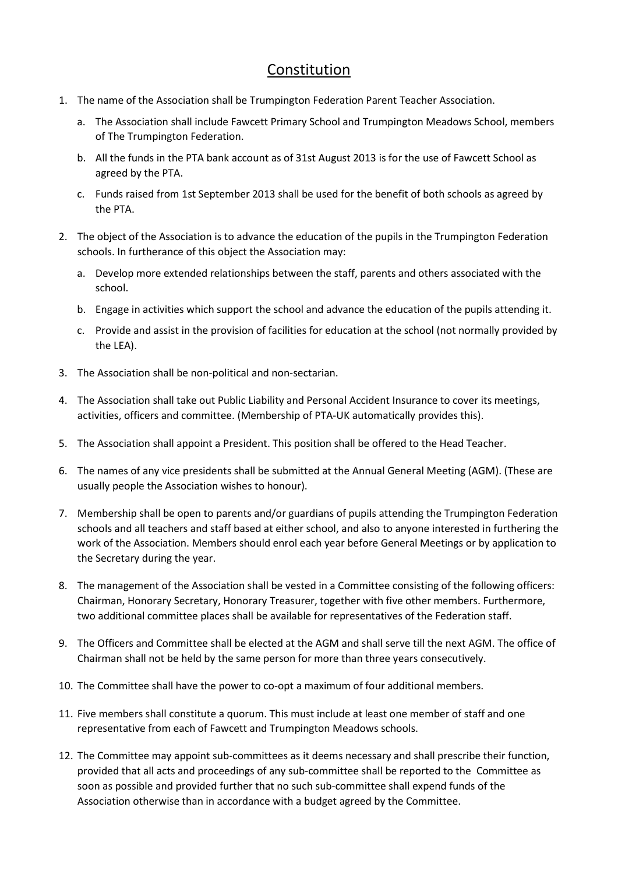## Constitution

- 1. The name of the Association shall be Trumpington Federation Parent Teacher Association.
	- a. The Association shall include Fawcett Primary School and Trumpington Meadows School, members of The Trumpington Federation.
	- b. All the funds in the PTA bank account as of 31st August 2013 is for the use of Fawcett School as agreed by the PTA.
	- c. Funds raised from 1st September 2013 shall be used for the benefit of both schools as agreed by the PTA.
- 2. The object of the Association is to advance the education of the pupils in the Trumpington Federation schools. In furtherance of this object the Association may:
	- a. Develop more extended relationships between the staff, parents and others associated with the school.
	- b. Engage in activities which support the school and advance the education of the pupils attending it.
	- c. Provide and assist in the provision of facilities for education at the school (not normally provided by the LEA).
- 3. The Association shall be non-political and non-sectarian.
- 4. The Association shall take out Public Liability and Personal Accident Insurance to cover its meetings, activities, officers and committee. (Membership of PTA-UK automatically provides this).
- 5. The Association shall appoint a President. This position shall be offered to the Head Teacher.
- 6. The names of any vice presidents shall be submitted at the Annual General Meeting (AGM). (These are usually people the Association wishes to honour).
- 7. Membership shall be open to parents and/or guardians of pupils attending the Trumpington Federation schools and all teachers and staff based at either school, and also to anyone interested in furthering the work of the Association. Members should enrol each year before General Meetings or by application to the Secretary during the year.
- 8. The management of the Association shall be vested in a Committee consisting of the following officers: Chairman, Honorary Secretary, Honorary Treasurer, together with five other members. Furthermore, two additional committee places shall be available for representatives of the Federation staff.
- 9. The Officers and Committee shall be elected at the AGM and shall serve till the next AGM. The office of Chairman shall not be held by the same person for more than three years consecutively.
- 10. The Committee shall have the power to co-opt a maximum of four additional members.
- 11. Five members shall constitute a quorum. This must include at least one member of staff and one representative from each of Fawcett and Trumpington Meadows schools.
- 12. The Committee may appoint sub-committees as it deems necessary and shall prescribe their function, provided that all acts and proceedings of any sub-committee shall be reported to the Committee as soon as possible and provided further that no such sub-committee shall expend funds of the Association otherwise than in accordance with a budget agreed by the Committee.